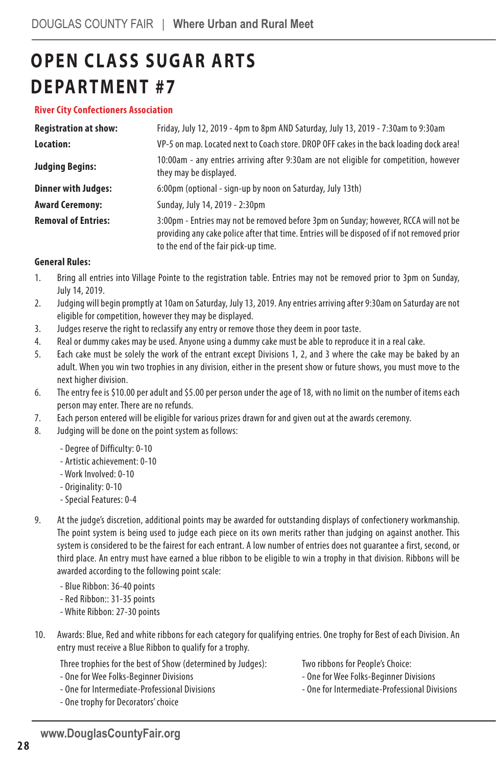# **OPEN CLASS SUGAR ARTS DEPARTMENT #7**

#### **River City Confectioners Association**

| <b>Registration at show:</b> | Friday, July 12, 2019 - 4pm to 8pm AND Saturday, July 13, 2019 - 7:30am to 9:30am                                                                                                                                          |  |  |
|------------------------------|----------------------------------------------------------------------------------------------------------------------------------------------------------------------------------------------------------------------------|--|--|
| Location:                    | VP-5 on map. Located next to Coach store. DROP OFF cakes in the back loading dock area!                                                                                                                                    |  |  |
| <b>Judging Begins:</b>       | 10:00am - any entries arriving after 9:30am are not eligible for competition, however<br>they may be displayed.                                                                                                            |  |  |
| <b>Dinner with Judges:</b>   | 6:00pm (optional - sign-up by noon on Saturday, July 13th)                                                                                                                                                                 |  |  |
| <b>Award Ceremony:</b>       | Sunday, July 14, 2019 - 2:30pm                                                                                                                                                                                             |  |  |
| <b>Removal of Entries:</b>   | 3:00pm - Entries may not be removed before 3pm on Sunday; however, RCCA will not be<br>providing any cake police after that time. Entries will be disposed of if not removed prior<br>to the end of the fair pick-up time. |  |  |

#### **General Rules:**

- 1. Bring all entries into Village Pointe to the registration table. Entries may not be removed prior to 3pm on Sunday, July 14, 2019.
- 2. Judging will begin promptly at 10am on Saturday, July 13, 2019. Any entries arriving after 9:30am on Saturday are not eligible for competition, however they may be displayed.
- 3. Judges reserve the right to reclassify any entry or remove those they deem in poor taste.
- 4. Real or dummy cakes may be used. Anyone using a dummy cake must be able to reproduce it in a real cake.
- 5. Each cake must be solely the work of the entrant except Divisions 1, 2, and 3 where the cake may be baked by an adult. When you win two trophies in any division, either in the present show or future shows, you must move to the next higher division.
- 6. The entry fee is \$10.00 per adult and \$5.00 per person under the age of 18, with no limit on the number of items each person may enter. There are no refunds.
- 7. Each person entered will be eligible for various prizes drawn for and given out at the awards ceremony.
- 8. Judging will be done on the point system as follows:
	- Degree of Difficulty: 0-10
	- Artistic achievement: 0-10
	- Work Involved: 0-10
	- Originality: 0-10
	- Special Features: 0-4
- 9. At the judge's discretion, additional points may be awarded for outstanding displays of confectionery workmanship. The point system is being used to judge each piece on its own merits rather than judging on against another. This system is considered to be the fairest for each entrant. A low number of entries does not guarantee a first, second, or third place. An entry must have earned a blue ribbon to be eligible to win a trophy in that division. Ribbons will be awarded according to the following point scale:
	- Blue Ribbon: 36-40 points
	- Red Ribbon:: 31-35 points
	- White Ribbon: 27-30 points
- 10. Awards: Blue, Red and white ribbons for each category for qualifying entries. One trophy for Best of each Division. An entry must receive a Blue Ribbon to qualify for a trophy.

Three trophies for the best of Show (determined by Judges):

- One for Wee Folks-Beginner Divisions
- One for Intermediate-Professional Divisions
- One trophy for Decorators' choice

Two ribbons for People's Choice:

- One for Wee Folks-Beginner Divisions
- One for Intermediate-Professional Divisions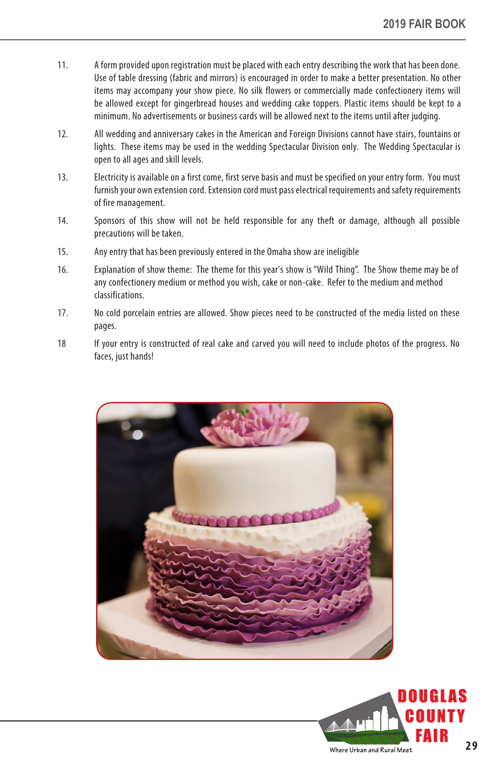- 11. A form provided upon registration must be placed with each entry describing the work that has been done. Use of table dressing (fabric and mirrors) is encouraged in order to make a better presentation. No other items may accompany your show piece. No silk flowers or commercially made confectionery items will be allowed except for gingerbread houses and wedding cake toppers. Plastic items should be kept to a minimum. No advertisements or business cards will be allowed next to the items until after judging.
- 12. All wedding and anniversary cakes in the American and Foreign Divisions cannot have stairs, fountains or lights. These items may be used in the wedding Spectacular Division only. The Wedding Spectacular is open to all ages and skill levels.
- 13. Electricity is available on a first come, first serve basis and must be specified on your entry form. You must furnish your own extension cord. Extension cord must pass electrical requirements and safety requirements of fire management.
- 14. Sponsors of this show will not be held responsible for any theft or damage, although all possible precautions will be taken.
- 15. Any entry that has been previously entered in the Omaha show are ineligible
- 16. Explanation of show theme: The theme for this year's show is "Wild Thing". The Show theme may be of any confectionery medium or method you wish, cake or non-cake. Refer to the medium and method classifications.
- 17. No cold porcelain entries are allowed. Show pieces need to be constructed of the media listed on these pages.
- 18 If your entry is constructed of real cake and carved you will need to include photos of the progress. No faces, just hands!



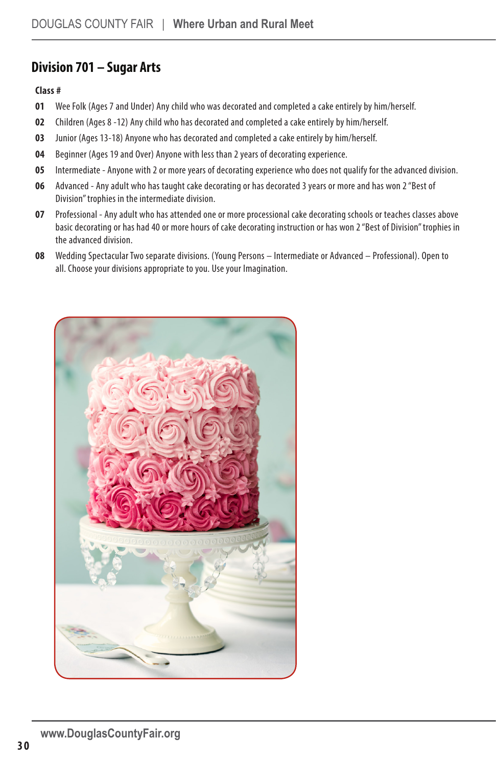### **Division 701 – Sugar Arts**

#### **Class #**

- **01** Wee Folk (Ages 7 and Under) Any child who was decorated and completed a cake entirely by him/herself.
- **02** Children (Ages 8 -12) Any child who has decorated and completed a cake entirely by him/herself.
- **03** Junior (Ages 13-18) Anyone who has decorated and completed a cake entirely by him/herself.
- **04** Beginner (Ages 19 and Over) Anyone with less than 2 years of decorating experience.
- **05** Intermediate Anyone with 2 or more years of decorating experience who does not qualify for the advanced division.
- **06** Advanced Any adult who has taught cake decorating or has decorated 3 years or more and has won 2 "Best of Division" trophies in the intermediate division.
- **07** Professional Any adult who has attended one or more processional cake decorating schools or teaches classes above basic decorating or has had 40 or more hours of cake decorating instruction or has won 2 "Best of Division" trophies in the advanced division.
- **08** Wedding Spectacular Two separate divisions. (Young Persons Intermediate or Advanced Professional). Open to all. Choose your divisions appropriate to you. Use your Imagination.

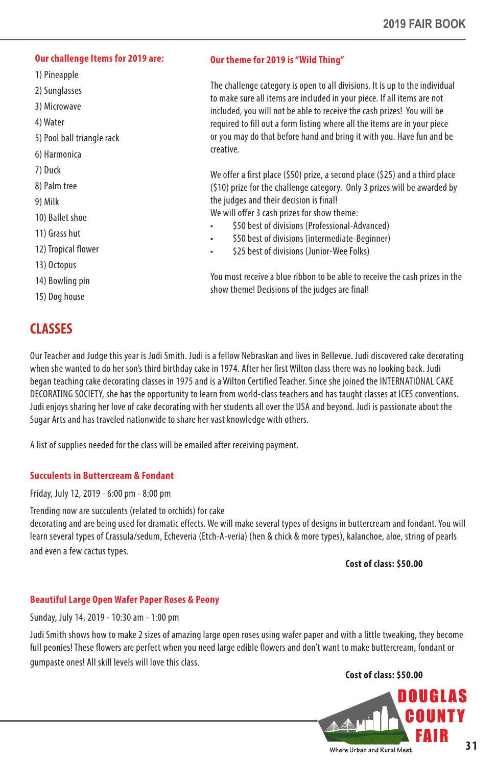#### **Our challenge Items for 2019 are:**

- 1) Pineapple
- 2) Sunglasses
- 3) Microwave
- 4) Water
- 5) Pool ball triangle rack
- 6) Harmonica
- 7) Duck
- 8) Palm tree
- 9) Milk
- 10) Ballet shoe
- 11) Grass hut
- 12) Tropical flower
- 13) Octopus
- 14) Bowling pin
- 15) Dog house

## **CLASSES**

#### **Our theme for 2019 is "Wild Thing"**

The challenge category is open to all divisions. It is up to the individual to make sure all items are included in your piece. If all items are not included, you will not be able to receive the cash prizes! You will be required to fill out a form listing where all the items are in your piece or you may do that before hand and bring it with you. Have fun and be creative.

We offer a first place (\$50) prize, a second place (\$25) and a third place (\$10) prize for the challenge category. Only 3 prizes will be awarded by the judges and their decision is final!

We will offer 3 cash prizes for show theme:

- \$50 best of divisions (Professional-Advanced)
- \$50 best of divisions (intermediate-Beginner)
- \$25 best of divisions (Junior-Wee Folks)

You must receive a blue ribbon to be able to receive the cash prizes in the show theme! Decisions of the judges are final!

Our Teacher and Judge this year is Judi Smith. Judi is a fellow Nebraskan and lives in Bellevue. Judi discovered cake decorating when she wanted to do her son's third birthday cake in 1974. After her first Wilton class there was no looking back. Judi began teaching cake decorating classes in 1975 and is a Wilton Certified Teacher. Since she joined the INTERNATIONAL CAKE DECORATING SOCIETY, she has the opportunity to learn from world-class teachers and has taught classes at ICES conventions. Judi enjoys sharing her love of cake decorating with her students all over the USA and beyond. Judi is passionate about the Sugar Arts and has traveled nationwide to share her vast knowledge with others.

A list of supplies needed for the class will be emailed after receiving payment.

#### **Succulents in Buttercream & Fondant**

Friday, July 12, 2019 - 6:00 pm - 8:00 pm

Trending now are succulents (related to orchids) for cake

decorating and are being used for dramatic effects. We will make several types of designs in buttercream and fondant. You will learn several types of Crassula/sedum, Echeveria (Etch-A-veria) (hen & chick & more types), kalanchoe, aloe, string of pearls and even a few cactus types.

 **Cost of class: \$50.00**

#### **Beautiful Large Open Wafer Paper Roses & Peony**

Sunday, July 14, 2019 - 10:30 am - 1:00 pm

Judi Smith shows how to make 2 sizes of amazing large open roses using wafer paper and with a little tweaking, they become full peonies! These flowers are perfect when you need large edible flowers and don't want to make buttercream, fondant or gumpaste ones! All skill levels will love this class.

 **Cost of class: \$50.00**

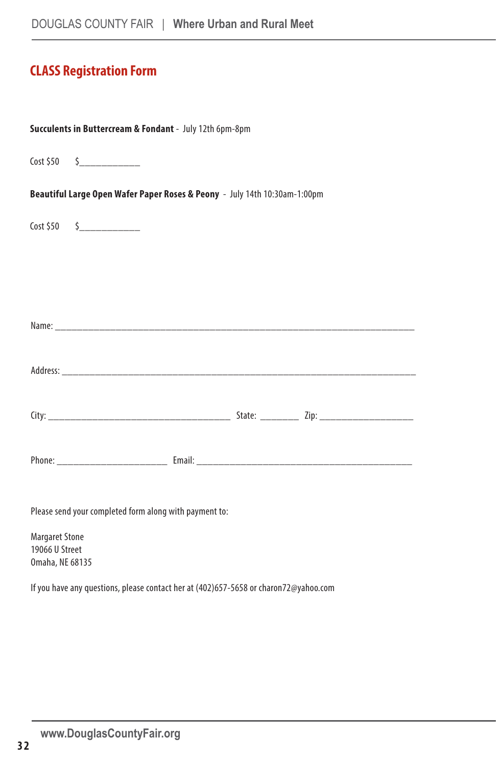## **CLASS Registration Form**

| Succulents in Buttercream & Fondant - July 12th 6pm-8pm                   |                                                                                                                                                                                                                               |  |  |  |  |  |
|---------------------------------------------------------------------------|-------------------------------------------------------------------------------------------------------------------------------------------------------------------------------------------------------------------------------|--|--|--|--|--|
|                                                                           | $Cost $50 \qquad $ {\color{red} \dot{\text{}}_{\text{}} \text{}}$                                                                                                                                                             |  |  |  |  |  |
| Beautiful Large Open Wafer Paper Roses & Peony - July 14th 10:30am-1:00pm |                                                                                                                                                                                                                               |  |  |  |  |  |
|                                                                           | $Cost $50 \t$$                                                                                                                                                                                                                |  |  |  |  |  |
|                                                                           |                                                                                                                                                                                                                               |  |  |  |  |  |
|                                                                           |                                                                                                                                                                                                                               |  |  |  |  |  |
|                                                                           | Name: Name: Name: Name: Name: Name: Name: Name: Name: Name: Name: Name: Name: Name: Name: Name: Name: Name: Name: Name: Name: Name: Name: Name: Name: Name: Name: Name: Name: Name: Name: Name: Name: Name: Name: Name: Name: |  |  |  |  |  |
|                                                                           |                                                                                                                                                                                                                               |  |  |  |  |  |
|                                                                           |                                                                                                                                                                                                                               |  |  |  |  |  |
|                                                                           |                                                                                                                                                                                                                               |  |  |  |  |  |
|                                                                           |                                                                                                                                                                                                                               |  |  |  |  |  |
| Please send your completed form along with payment to:                    |                                                                                                                                                                                                                               |  |  |  |  |  |
| <b>Margaret Stone</b><br>19066 U Street<br>Omaha, NE 68135                |                                                                                                                                                                                                                               |  |  |  |  |  |

If you have any questions, please contact her at (402)657-5658 or charon72@yahoo.com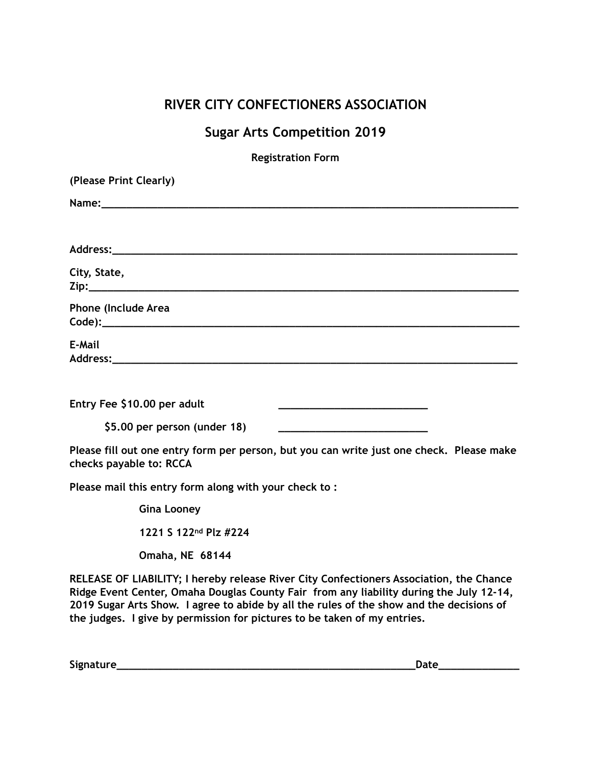# **RIVER CITY CONFECTIONERS ASSOCIATION**

# **Sugar Arts Competition 2019**

**Registration Form** 

| (Please Print Clearly)                                                                                                                                |
|-------------------------------------------------------------------------------------------------------------------------------------------------------|
|                                                                                                                                                       |
|                                                                                                                                                       |
| City, State,                                                                                                                                          |
| Phone (Include Area                                                                                                                                   |
| E-Mail                                                                                                                                                |
| Entry Fee \$10.00 per adult<br><u> 1989 - Johann John Harry Harry Harry Harry Harry Harry Harry Harry Harry Harry Harry Harry Harry Harry Harry H</u> |
| \$5.00 per person (under 18)                                                                                                                          |
| Please fill out one entry form per person, but you can write just one check. Please make<br>checks payable to: RCCA                                   |
| Please mail this entry form along with your check to:                                                                                                 |
| <b>Gina Looney</b>                                                                                                                                    |
| 1221 S 122nd Plz #224                                                                                                                                 |

 **Omaha, NE 68144** 

**RELEASE OF LIABILITY; I hereby release River City Confectioners Association, the Chance Ridge Event Center, Omaha Douglas County Fair from any liability during the July 12-14, 2019 Sugar Arts Show. I agree to abide by all the rules of the show and the decisions of the judges. I give by permission for pictures to be taken of my entries.** 

**Signature\_\_\_\_\_\_\_\_\_\_\_\_\_\_\_\_\_\_\_\_\_\_\_\_\_\_\_\_\_\_\_\_\_\_\_\_\_\_\_\_\_\_\_\_\_\_\_\_Date\_\_\_\_\_\_\_\_\_\_\_\_\_**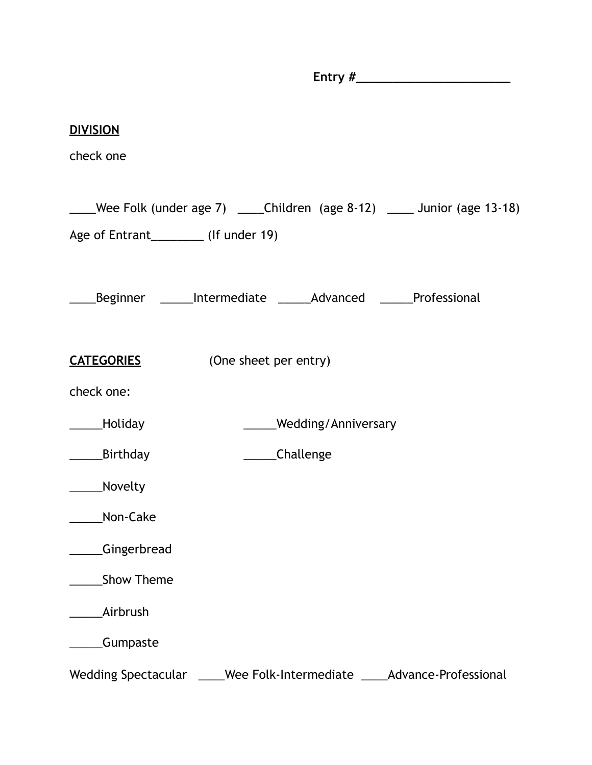**DIVISION**  check one \_\_\_\_Wee Folk (under age 7) \_\_\_\_Children (age 8-12) \_\_\_\_ Junior (age 13-18) Age of Entrant\_\_\_\_\_\_\_\_\_\_\_ (If under 19) \_\_\_\_Beginner \_\_\_\_\_Intermediate \_\_\_\_\_Advanced \_\_\_\_\_Professional **CATEGORIES** (One sheet per entry) check one: \_\_\_\_\_Holiday \_\_\_\_\_Wedding/Anniversary \_\_\_\_\_Birthday \_\_\_\_\_Challenge \_\_\_\_\_Novelty Non-Cake \_\_\_\_\_Gingerbread \_\_\_\_\_Show Theme \_\_\_\_\_Airbrush \_\_\_\_\_Gumpaste Wedding Spectacular \_\_\_\_\_Wee Folk-Intermediate \_\_\_\_\_Advance-Professional

**Entry #\_\_\_\_\_\_\_\_\_\_\_\_\_\_\_\_\_\_\_\_\_\_\_\_\_\_**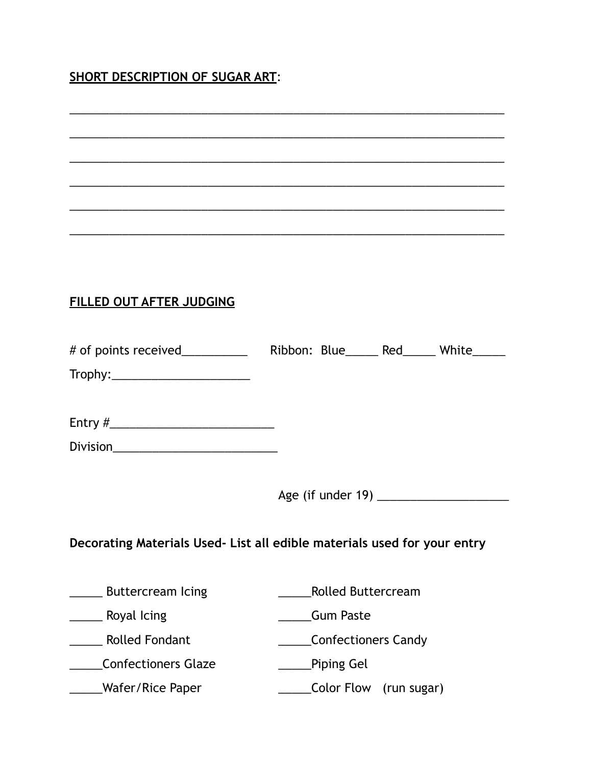## **SHORT DESCRIPTION OF SUGAR ART**:

# \_\_\_\_\_\_\_\_\_\_\_\_\_\_\_\_\_\_\_\_\_\_\_\_\_\_\_\_\_\_\_\_\_\_\_\_\_\_\_\_\_\_\_\_\_\_\_\_\_\_\_\_\_\_\_\_\_\_\_\_\_\_\_\_\_\_ \_\_\_\_\_\_\_\_\_\_\_\_\_\_\_\_\_\_\_\_\_\_\_\_\_\_\_\_\_\_\_\_\_\_\_\_\_\_\_\_\_\_\_\_\_\_\_\_\_\_\_\_\_\_\_\_\_\_\_\_\_\_\_\_\_\_ \_\_\_\_\_\_\_\_\_\_\_\_\_\_\_\_\_\_\_\_\_\_\_\_\_\_\_\_\_\_\_\_\_\_\_\_\_\_\_\_\_\_\_\_\_\_\_\_\_\_\_\_\_\_\_\_\_\_\_\_\_\_\_\_\_\_ \_\_\_\_\_\_\_\_\_\_\_\_\_\_\_\_\_\_\_\_\_\_\_\_\_\_\_\_\_\_\_\_\_\_\_\_\_\_\_\_\_\_\_\_\_\_\_\_\_\_\_\_\_\_\_\_\_\_\_\_\_\_\_\_\_\_ \_\_\_\_\_\_\_\_\_\_\_\_\_\_\_\_\_\_\_\_\_\_\_\_\_\_\_\_\_\_\_\_\_\_\_\_\_\_\_\_\_\_\_\_\_\_\_\_\_\_\_\_\_\_\_\_\_\_\_\_\_\_\_\_\_\_ **FILLED OUT AFTER JUDGING**  # of points received\_\_\_\_\_\_\_\_\_\_\_\_\_ Ribbon: Blue\_\_\_\_\_ Red\_\_\_\_\_ White\_\_\_\_\_ Trophy:\_\_\_\_\_\_\_\_\_\_\_\_\_\_\_\_\_\_\_\_\_ Entry  $\#$ Division\_\_\_\_\_\_\_\_\_\_\_\_\_\_\_\_\_\_\_\_\_\_\_\_\_ Age (if under 19) \_\_\_\_\_\_\_\_\_\_\_\_\_\_\_\_\_\_\_\_ **Decorating Materials Used- List all edible materials used for your entry**  \_\_\_\_\_ Buttercream Icing \_\_\_\_\_Rolled Buttercream \_\_\_\_\_ Royal Icing \_\_\_\_\_Gum Paste \_\_\_\_\_ Rolled Fondant \_\_\_\_\_Confectioners Candy \_\_\_\_\_Confectioners Glaze \_\_\_\_\_Piping Gel \_\_\_\_\_Wafer/Rice Paper \_\_\_\_\_Color Flow (run sugar)

\_\_\_\_\_\_\_\_\_\_\_\_\_\_\_\_\_\_\_\_\_\_\_\_\_\_\_\_\_\_\_\_\_\_\_\_\_\_\_\_\_\_\_\_\_\_\_\_\_\_\_\_\_\_\_\_\_\_\_\_\_\_\_\_\_\_